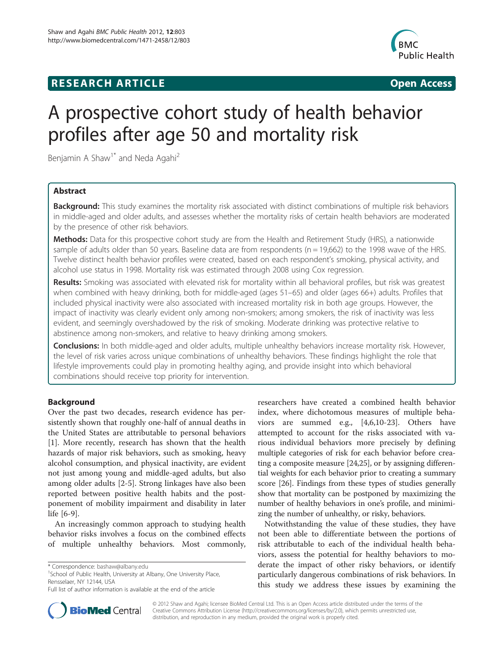# **RESEARCH ARTICLE Example 2014 CONSIDERING CONSIDERING CONSIDERING CONSIDERING CONSIDERING CONSIDERING CONSIDERING CONSIDERING CONSIDERING CONSIDERING CONSIDERING CONSIDERING CONSIDERING CONSIDERING CONSIDERING CONSIDE**



# A prospective cohort study of health behavior profiles after age 50 and mortality risk

Benjamin A Shaw<sup>1\*</sup> and Neda Agahi<sup>2</sup>

# Abstract

Background: This study examines the mortality risk associated with distinct combinations of multiple risk behaviors in middle-aged and older adults, and assesses whether the mortality risks of certain health behaviors are moderated by the presence of other risk behaviors.

Methods: Data for this prospective cohort study are from the Health and Retirement Study (HRS), a nationwide sample of adults older than 50 years. Baseline data are from respondents ( $n = 19,662$ ) to the 1998 wave of the HRS. Twelve distinct health behavior profiles were created, based on each respondent's smoking, physical activity, and alcohol use status in 1998. Mortality risk was estimated through 2008 using Cox regression.

Results: Smoking was associated with elevated risk for mortality within all behavioral profiles, but risk was greatest when combined with heavy drinking, both for middle-aged (ages 51–65) and older (ages 66+) adults. Profiles that included physical inactivity were also associated with increased mortality risk in both age groups. However, the impact of inactivity was clearly evident only among non-smokers; among smokers, the risk of inactivity was less evident, and seemingly overshadowed by the risk of smoking. Moderate drinking was protective relative to abstinence among non-smokers, and relative to heavy drinking among smokers.

Conclusions: In both middle-aged and older adults, multiple unhealthy behaviors increase mortality risk. However, the level of risk varies across unique combinations of unhealthy behaviors. These findings highlight the role that lifestyle improvements could play in promoting healthy aging, and provide insight into which behavioral combinations should receive top priority for intervention.

# Background

Over the past two decades, research evidence has persistently shown that roughly one-half of annual deaths in the United States are attributable to personal behaviors [[1\]](#page-8-0). More recently, research has shown that the health hazards of major risk behaviors, such as smoking, heavy alcohol consumption, and physical inactivity, are evident not just among young and middle-aged adults, but also among older adults [[2-5](#page-8-0)]. Strong linkages have also been reported between positive health habits and the postponement of mobility impairment and disability in later life [\[6](#page-8-0)-[9\]](#page-8-0).

An increasingly common approach to studying health behavior risks involves a focus on the combined effects of multiple unhealthy behaviors. Most commonly,

<sup>1</sup>School of Public Health, University at Albany, One University Place, Rensselaer, NY 12144, USA

researchers have created a combined health behavior index, where dichotomous measures of multiple behaviors are summed e.g., [[4,6,10-](#page-8-0)[23](#page-9-0)]. Others have attempted to account for the risks associated with various individual behaviors more precisely by defining multiple categories of risk for each behavior before creating a composite measure [[24](#page-9-0),[25](#page-9-0)], or by assigning differential weights for each behavior prior to creating a summary score [\[26](#page-9-0)]. Findings from these types of studies generally show that mortality can be postponed by maximizing the number of healthy behaviors in one's profile, and minimizing the number of unhealthy, or risky, behaviors.

Notwithstanding the value of these studies, they have not been able to differentiate between the portions of risk attributable to each of the individual health behaviors, assess the potential for healthy behaviors to moderate the impact of other risky behaviors, or identify particularly dangerous combinations of risk behaviors. In this study we address these issues by examining the



© 2012 Shaw and Agahi; licensee BioMed Central Ltd. This is an Open Access article distributed under the terms of the Creative Commons Attribution License (<http://creativecommons.org/licenses/by/2.0>), which permits unrestricted use, distribution, and reproduction in any medium, provided the original work is properly cited.

<sup>\*</sup> Correspondence: [bashaw@albany.edu](mailto:bashaw@albany.edu) <sup>1</sup>

Full list of author information is available at the end of the article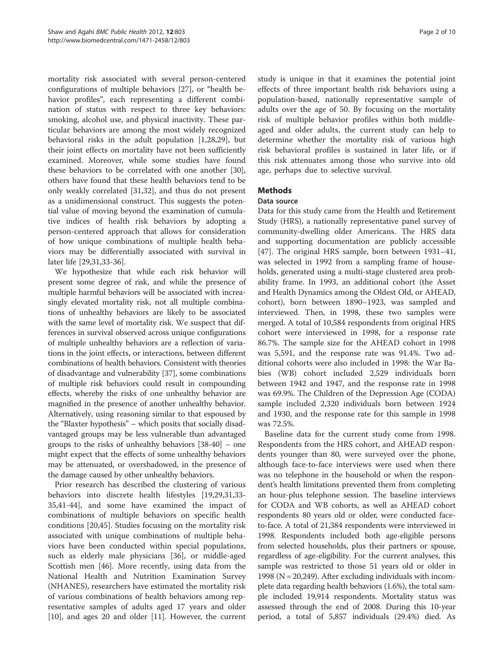mortality risk associated with several person-centered configurations of multiple behaviors [[27\]](#page-9-0), or "health behavior profiles", each representing a different combination of status with respect to three key behaviors: smoking, alcohol use, and physical inactivity. These particular behaviors are among the most widely recognized behavioral risks in the adult population [[1](#page-8-0),[28](#page-9-0),[29](#page-9-0)], but their joint effects on mortality have not been sufficiently examined. Moreover, while some studies have found these behaviors to be correlated with one another [\[30](#page-9-0)], others have found that these health behaviors tend to be only weakly correlated [\[31,32](#page-9-0)], and thus do not present as a unidimensional construct. This suggests the potential value of moving beyond the examination of cumulative indices of health risk behaviors by adopting a person-centered approach that allows for consideration of how unique combinations of multiple health behaviors may be differentially associated with survival in later life [\[29,31,33](#page-9-0)-[36](#page-9-0)].

We hypothesize that while each risk behavior will present some degree of risk, and while the presence of multiple harmful behaviors will be associated with increasingly elevated mortality risk, not all multiple combinations of unhealthy behaviors are likely to be associated with the same level of mortality risk. We suspect that differences in survival observed across unique configurations of multiple unhealthy behaviors are a reflection of variations in the joint effects, or interactions, between different combinations of health behaviors. Consistent with theories of disadvantage and vulnerability [[37](#page-9-0)], some combinations of multiple risk behaviors could result in compounding effects, whereby the risks of one unhealthy behavior are magnified in the presence of another unhealthy behavior. Alternatively, using reasoning similar to that espoused by the "Blaxter hypothesis" – which posits that socially disadvantaged groups may be less vulnerable than advantaged groups to the risks of unhealthy behaviors [[38-40\]](#page-9-0) – one might expect that the effects of some unhealthy behaviors may be attenuated, or overshadowed, in the presence of the damage caused by other unhealthy behaviors.

Prior research has described the clustering of various behaviors into discrete health lifestyles [\[19,29,31,33-](#page-9-0) [35,41-44\]](#page-9-0), and some have examined the impact of combinations of multiple behaviors on specific health conditions [[20,45\]](#page-9-0). Studies focusing on the mortality risk associated with unique combinations of multiple behaviors have been conducted within special populations, such as elderly male physicians [[36](#page-9-0)], or middle-aged Scottish men [[46](#page-9-0)]. More recently, using data from the National Health and Nutrition Examination Survey (NHANES), researchers have estimated the mortality risk of various combinations of health behaviors among representative samples of adults aged 17 years and older [[10\]](#page-8-0), and ages 20 and older [[11](#page-8-0)]. However, the current

study is unique in that it examines the potential joint effects of three important health risk behaviors using a population-based, nationally representative sample of adults over the age of 50. By focusing on the mortality risk of multiple behavior profiles within both middleaged and older adults, the current study can help to determine whether the mortality risk of various high risk behavioral profiles is sustained in later life, or if this risk attenuates among those who survive into old age, perhaps due to selective survival.

# **Methods**

#### Data source

Data for this study came from the Health and Retirement Study (HRS), a nationally representative panel survey of community-dwelling older Americans. The HRS data and supporting documentation are publicly accessible [[47\]](#page-9-0). The original HRS sample, born between 1931–41, was selected in 1992 from a sampling frame of households, generated using a multi-stage clustered area probability frame. In 1993, an additional cohort (the Asset and Health Dynamics among the Oldest Old, or AHEAD, cohort), born between 1890–1923, was sampled and interviewed. Then, in 1998, these two samples were merged. A total of 10,584 respondents from original HRS cohort were interviewed in 1998, for a response rate 86.7%. The sample size for the AHEAD cohort in 1998 was 5,591, and the response rate was 91.4%. Two additional cohorts were also included in 1998: the War Babies (WB) cohort included 2,529 individuals born between 1942 and 1947, and the response rate in 1998 was 69.9%. The Children of the Depression Age (CODA) sample included 2,320 individuals born between 1924 and 1930, and the response rate for this sample in 1998 was 72.5%.

Baseline data for the current study come from 1998. Respondents from the HRS cohort, and AHEAD respondents younger than 80, were surveyed over the phone, although face-to-face interviews were used when there was no telephone in the household or when the respondent's health limitations prevented them from completing an hour-plus telephone session. The baseline interviews for CODA and WB cohorts, as well as AHEAD cohort respondents 80 years old or older, were conducted faceto-face. A total of 21,384 respondents were interviewed in 1998. Respondents included both age-eligible persons from selected households, plus their partners or spouse, regardless of age-eligibility. For the current analyses, this sample was restricted to those 51 years old or older in 1998 ( $N = 20,249$ ). After excluding individuals with incomplete data regarding health behaviors (1.6%), the total sample included 19,914 respondents. Mortality status was assessed through the end of 2008. During this 10-year period, a total of 5,857 individuals (29.4%) died. As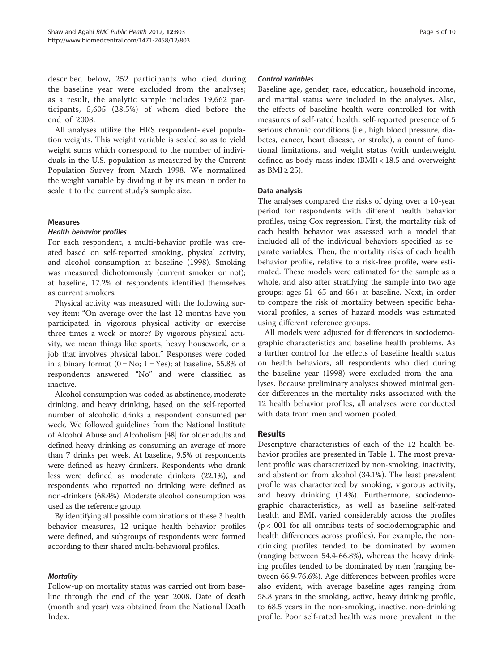described below, 252 participants who died during the baseline year were excluded from the analyses; as a result, the analytic sample includes 19,662 participants, 5,605 (28.5%) of whom died before the end of 2008.

All analyses utilize the HRS respondent-level population weights. This weight variable is scaled so as to yield weight sums which correspond to the number of individuals in the U.S. population as measured by the Current Population Survey from March 1998. We normalized the weight variable by dividing it by its mean in order to scale it to the current study's sample size.

#### Measures

#### Health behavior profiles

For each respondent, a multi-behavior profile was created based on self-reported smoking, physical activity, and alcohol consumption at baseline (1998). Smoking was measured dichotomously (current smoker or not); at baseline, 17.2% of respondents identified themselves as current smokers.

Physical activity was measured with the following survey item: "On average over the last 12 months have you participated in vigorous physical activity or exercise three times a week or more? By vigorous physical activity, we mean things like sports, heavy housework, or a job that involves physical labor." Responses were coded in a binary format  $(0 = No; 1 = Yes)$ ; at baseline, 55.8% of respondents answered "No" and were classified as inactive.

Alcohol consumption was coded as abstinence, moderate drinking, and heavy drinking, based on the self-reported number of alcoholic drinks a respondent consumed per week. We followed guidelines from the National Institute of Alcohol Abuse and Alcoholism [\[48](#page-9-0)] for older adults and defined heavy drinking as consuming an average of more than 7 drinks per week. At baseline, 9.5% of respondents were defined as heavy drinkers. Respondents who drank less were defined as moderate drinkers (22.1%), and respondents who reported no drinking were defined as non-drinkers (68.4%). Moderate alcohol consumption was used as the reference group.

By identifying all possible combinations of these 3 health behavior measures, 12 unique health behavior profiles were defined, and subgroups of respondents were formed according to their shared multi-behavioral profiles.

# **Mortality**

Follow-up on mortality status was carried out from baseline through the end of the year 2008. Date of death (month and year) was obtained from the National Death Index.

#### Control variables

Baseline age, gender, race, education, household income, and marital status were included in the analyses. Also, the effects of baseline health were controlled for with measures of self-rated health, self-reported presence of 5 serious chronic conditions (i.e., high blood pressure, diabetes, cancer, heart disease, or stroke), a count of functional limitations, and weight status (with underweight defined as body mass index (BMI) < 18.5 and overweight as  $BMI \geq 25$ ).

# Data analysis

The analyses compared the risks of dying over a 10-year period for respondents with different health behavior profiles, using Cox regression. First, the mortality risk of each health behavior was assessed with a model that included all of the individual behaviors specified as separate variables. Then, the mortality risks of each health behavior profile, relative to a risk-free profile, were estimated. These models were estimated for the sample as a whole, and also after stratifying the sample into two age groups: ages 51–65 and 66+ at baseline. Next, in order to compare the risk of mortality between specific behavioral profiles, a series of hazard models was estimated using different reference groups.

All models were adjusted for differences in sociodemographic characteristics and baseline health problems. As a further control for the effects of baseline health status on health behaviors, all respondents who died during the baseline year (1998) were excluded from the analyses. Because preliminary analyses showed minimal gender differences in the mortality risks associated with the 12 health behavior profiles, all analyses were conducted with data from men and women pooled.

# Results

Descriptive characteristics of each of the 12 health behavior profiles are presented in Table [1](#page-3-0). The most prevalent profile was characterized by non-smoking, inactivity, and abstention from alcohol (34.1%). The least prevalent profile was characterized by smoking, vigorous activity, and heavy drinking (1.4%). Furthermore, sociodemographic characteristics, as well as baseline self-rated health and BMI, varied considerably across the profiles (p < .001 for all omnibus tests of sociodemographic and health differences across profiles). For example, the nondrinking profiles tended to be dominated by women (ranging between 54.4-66.8%), whereas the heavy drinking profiles tended to be dominated by men (ranging between 66.9-76.6%). Age differences between profiles were also evident, with average baseline ages ranging from 58.8 years in the smoking, active, heavy drinking profile, to 68.5 years in the non-smoking, inactive, non-drinking profile. Poor self-rated health was more prevalent in the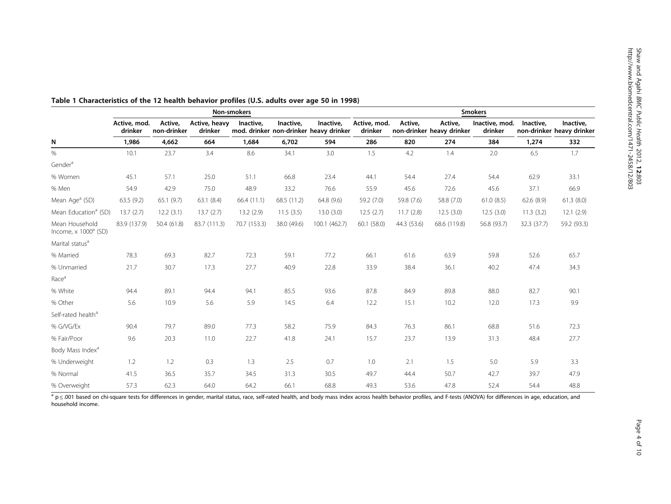|                                                            | Non-smokers             |                        |                          |              |             |                                                     | <b>Smokers</b>          |             |                                      |                           |             |                                        |
|------------------------------------------------------------|-------------------------|------------------------|--------------------------|--------------|-------------|-----------------------------------------------------|-------------------------|-------------|--------------------------------------|---------------------------|-------------|----------------------------------------|
|                                                            | Active, mod.<br>drinker | Active,<br>non-drinker | Active, heavy<br>drinker | Inactive,    | Inactive,   | Inactive,<br>mod. drinker non-drinker heavy drinker | Active, mod.<br>drinker | Active,     | Active,<br>non-drinker heavy drinker | Inactive, mod.<br>drinker | Inactive,   | Inactive.<br>non-drinker heavy drinker |
| N                                                          | 1,986                   | 4,662                  | 664                      | 1,684        | 6.702       | 594                                                 | 286                     | 820         | 274                                  | 384                       | 1,274       | 332                                    |
| $\%$                                                       | 10.1                    | 23.7                   | 3.4                      | 8.6          | 34.1        | 3.0                                                 | 1.5                     | 4.2         | 1.4                                  | 2.0                       | 6.5         | 1.7                                    |
| Gender <sup>a</sup>                                        |                         |                        |                          |              |             |                                                     |                         |             |                                      |                           |             |                                        |
| % Women                                                    | 45.1                    | 57.1                   | 25.0                     | 51.1         | 66.8        | 23.4                                                | 44.1                    | 54.4        | 27.4                                 | 54.4                      | 62.9        | 33.1                                   |
| % Men                                                      | 54.9                    | 42.9                   | 75.0                     | 48.9         | 33.2        | 76.6                                                | 55.9                    | 45.6        | 72.6                                 | 45.6                      | 37.1        | 66.9                                   |
| Mean Age <sup>a</sup> (SD)                                 | 63.5 (9.2)              | 65.1(9.7)              | 63.1(8.4)                | 66.4(11.1)   | 68.5 (11.2) | 64.8 (9.6)                                          | 59.2 (7.0)              | 59.8 (7.6)  | 58.8 (7.0)                           | 61.0(8.5)                 | 62.6(8.9)   | 61.3(8.0)                              |
| Mean Education <sup>a</sup> (SD)                           | 13.7(2.7)               | 12.2(3.1)              | 13.7(2.7)                | 13.2(2.9)    | 11.5(3.5)   | 13.0(3.0)                                           | 12.5(2.7)               | 11.7(2.8)   | 12.5(3.0)                            | 12.5(3.0)                 | 11.3(3.2)   | 12.1(2.9)                              |
| Mean Household<br>Income, $\times$ 1000 $^{\text{a}}$ (SD) | 83.9 (137.9)            | 50.4 (61.8)            | 83.7 (111.3)             | 70.7 (153.3) | 38.0 (49.6) | 100.1 (462.7)                                       | 60.1 (58.0)             | 44.3 (53.6) | 68.6 (119.8)                         | 56.8 (93.7)               | 32.3 (37.7) | 59.2 (93.3)                            |
| Marital status <sup>a</sup>                                |                         |                        |                          |              |             |                                                     |                         |             |                                      |                           |             |                                        |
| % Married                                                  | 78.3                    | 69.3                   | 82.7                     | 72.3         | 59.1        | 77.2                                                | 66.1                    | 61.6        | 63.9                                 | 59.8                      | 52.6        | 65.7                                   |
| % Unmarried                                                | 21.7                    | 30.7                   | 17.3                     | 27.7         | 40.9        | 22.8                                                | 33.9                    | 38.4        | 36.1                                 | 40.2                      | 47.4        | 34.3                                   |
| Race <sup>a</sup>                                          |                         |                        |                          |              |             |                                                     |                         |             |                                      |                           |             |                                        |
| % White                                                    | 94.4                    | 89.1                   | 94.4                     | 94.1         | 85.5        | 93.6                                                | 87.8                    | 84.9        | 89.8                                 | 88.0                      | 82.7        | 90.1                                   |
| % Other                                                    | 5.6                     | 10.9                   | 5.6                      | 5.9          | 14.5        | 6.4                                                 | 12.2                    | 15.1        | 10.2                                 | 12.0                      | 17.3        | 9.9                                    |
| Self-rated health <sup>a</sup>                             |                         |                        |                          |              |             |                                                     |                         |             |                                      |                           |             |                                        |
| % G/VG/Ex                                                  | 90.4                    | 79.7                   | 89.0                     | 77.3         | 58.2        | 75.9                                                | 84.3                    | 76.3        | 86.1                                 | 68.8                      | 51.6        | 72.3                                   |
| % Fair/Poor                                                | 9.6                     | 20.3                   | 11.0                     | 22.7         | 41.8        | 24.1                                                | 15.7                    | 23.7        | 13.9                                 | 31.3                      | 48.4        | 27.7                                   |
| Body Mass Index <sup>a</sup>                               |                         |                        |                          |              |             |                                                     |                         |             |                                      |                           |             |                                        |
| % Underweight                                              | 1.2                     | 1.2                    | 0.3                      | 1.3          | 2.5         | 0.7                                                 | 1.0                     | 2.1         | 1.5                                  | 5.0                       | 5.9         | 3.3                                    |
| % Normal                                                   | 41.5                    | 36.5                   | 35.7                     | 34.5         | 31.3        | 30.5                                                | 49.7                    | 44.4        | 50.7                                 | 42.7                      | 39.7        | 47.9                                   |
| % Overweight                                               | 57.3                    | 62.3                   | 64.0                     | 64.2         | 66.1        | 68.8                                                | 49.3                    | 53.6        | 47.8                                 | 52.4                      | 54.4        | 48.8                                   |

<span id="page-3-0"></span>Table <sup>1</sup> Characteristics of the 12 health behavior profiles (U.S. adults over age 50 in 1998)

<sup>a</sup> p ≤ .001 based on chi-square tests for differences in gender, marital status, race, self-rated health, and body mass index across health behavior profiles, and F-tests (ANOVA) for differences in age, education, and household income.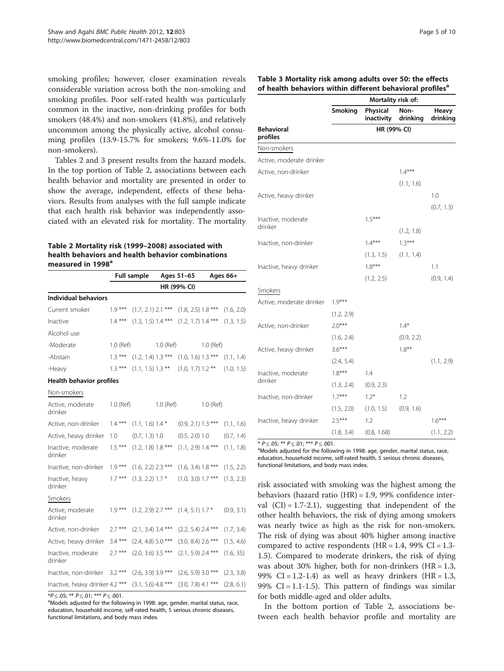<span id="page-4-0"></span>smoking profiles; however, closer examination reveals considerable variation across both the non-smoking and smoking profiles. Poor self-rated health was particularly common in the inactive, non-drinking profiles for both smokers (48.4%) and non-smokers (41.8%), and relatively uncommon among the physically active, alcohol consuming profiles (13.9-15.7% for smokers; 9.6%-11.0% for non-smokers).

Tables 2 and 3 present results from the hazard models. In the top portion of Table 2, associations between each health behavior and mortality are presented in order to show the average, independent, effects of these behaviors. Results from analyses with the full sample indicate that each health risk behavior was independently associated with an elevated risk for mortality. The mortality

#### Table 2 Mortality risk (1999–2008) associated with health behaviors and health behavior combinations measured in 1998<sup>a</sup>

|                                 |           | <b>Full sample</b>   |           | Ages 51-65           | Ages 66+  |            |  |
|---------------------------------|-----------|----------------------|-----------|----------------------|-----------|------------|--|
|                                 |           |                      |           | HR (99% CI)          |           |            |  |
| <b>Individual behaviors</b>     |           |                      |           |                      |           |            |  |
| Current smoker                  | $1.9***$  | $(1.7, 2.1)$ 2.1 *** |           | $(1.8, 2.5)$ 1.8 *** |           | (1.6, 2.0) |  |
| Inactive                        | $1.4***$  | $(1.3, 1.5)$ 1.4 *** |           | $(1.2, 1.7)$ 1.4 *** |           | (1.3, 1.5) |  |
| Alcohol use                     |           |                      |           |                      |           |            |  |
| -Moderate                       | 1.0 (Ref) |                      | 1.0 (Ref) |                      | 1.0 (Ref) |            |  |
| -Abstain                        | $1.3***$  | $(1.2, 1.4)$ 1.3 *** |           | $(1.0, 1.6)$ 1.3 *** |           | (1.1, 1.4) |  |
| -Heavy                          | $1.3***$  | $(1.1, 1.5)$ 1.3 **  |           | $(1.0, 1.7)$ 1.2 **  |           | (1.0, 1.5) |  |
| Health behavior profiles        |           |                      |           |                      |           |            |  |
| Non-smokers                     |           |                      |           |                      |           |            |  |
| Active, moderate<br>drinker     | 1.0 (Ref) |                      | 1.0 (Ref) |                      | 1.0 (Ref) |            |  |
| Active, non-drinker             | $1.4***$  | $(1.1, 1.6)$ 1.4 $*$ |           | $(0.9, 2.1)$ 1.3 *** |           | (1.1, 1.6) |  |
| Active, heavy drinker           | 1.0       | (0.7, 1.3) 1.0       |           | $(0.5, 2.0)$ 1.0     |           | (0.7, 1.4) |  |
| Inactive, moderate<br>drinker   | $1.5***$  | $(1.2, 1.8)$ 1.8 *** |           | $(1.1, 2.9)$ 1.4 *** |           | (1.1, 1.8) |  |
| Inactive, non-drinker           | $1.9***$  | $(1.6, 2.2)$ 2.3 *** |           | $(1.6, 3.4)$ 1.8 *** |           | (1.5, 2.2) |  |
| Inactive, heavy<br>drinker      | $1.7***$  | $(1.3, 2.2)$ 1.7 $*$ |           | $(1.0, 3.0)$ 1.7 *** |           | (1.3, 2.3) |  |
| Smokers                         |           |                      |           |                      |           |            |  |
| Active, moderate<br>drinker     | $1.9***$  | $(1.2, 2.9)$ 2.7 *** |           | $(1.4, 5.1)$ 1.7 $*$ |           | (0.9, 3.1) |  |
| Active, non-drinker             | $2.7***$  | $(2.1, 3.4)$ 3.4 *** |           | $(2.2, 5.4)$ 2.4 *** |           | (1.7, 3.4) |  |
| Active, heavy drinker           | $3.4***$  | $(2.4, 4.8)$ 5.0 *** |           | $(3.0, 8.4)$ 2.6 *** |           | (1.5, 4.6) |  |
| Inactive, moderate<br>drinker   | $2.7***$  | $(2.0, 3.6)$ 3.5 *** |           | $(2.1, 5.9)$ 2.4 *** |           | (1.6, 35)  |  |
| Inactive, non-drinker           | $3.2***$  | $(2.6, 3.9)$ 3.9 *** |           | $(2.6, 5.9)$ 3.0 *** |           | (2.3, 3.8) |  |
| Inactive, heavy drinker 4.2 *** |           | $(3.1, 5.6)$ 4.8 *** |           | $(3.0, 7.8)$ 4.1 *** |           | (2.8, 6.1) |  |

 $*P \leq .05; ** P \leq .01; ** P \leq .001.$ 

<sup>a</sup>Models adjusted for the following in 1998: age, gender, marital status, race, education, household income, self-rated health, 5 serious chronic diseases, functional limitations, and body mass index.

| Table 3 Mortality risk among adults over 50: the effects              |  |
|-----------------------------------------------------------------------|--|
| of health behaviors within different behavioral profiles <sup>a</sup> |  |

|                               | Mortality risk of: |                        |                  |                   |  |  |  |  |
|-------------------------------|--------------------|------------------------|------------------|-------------------|--|--|--|--|
|                               | Smoking            | Physical<br>inactivity | Non-<br>drinking | Heavy<br>drinking |  |  |  |  |
| <b>Behavioral</b><br>profiles | HR (99% CI)        |                        |                  |                   |  |  |  |  |
| Non-smokers                   |                    |                        |                  |                   |  |  |  |  |
| Active, moderate drinker      |                    |                        |                  |                   |  |  |  |  |
| Active, non-drinker           |                    |                        | $1.4***$         |                   |  |  |  |  |
|                               |                    |                        | (1.1, 1.6)       |                   |  |  |  |  |
| Active, heavy drinker         |                    |                        |                  | 1.0               |  |  |  |  |
|                               |                    |                        |                  | (0.7, 1.3)        |  |  |  |  |
| Inactive, moderate            |                    | $1.5***$               |                  |                   |  |  |  |  |
| drinker                       |                    |                        | (1.2, 1.8)       |                   |  |  |  |  |
| Inactive, non-drinker         |                    | $1.4***$               | $1.3***$         |                   |  |  |  |  |
|                               |                    | (1.3, 1.5)             | (1.1, 1.4)       |                   |  |  |  |  |
| Inactive, heavy drinker       |                    | $1.8***$               |                  | 1.1               |  |  |  |  |
|                               |                    | (1.2, 2.5)             |                  | (0.9, 1.4)        |  |  |  |  |
| Smokers                       |                    |                        |                  |                   |  |  |  |  |
| Active, moderate drinker      | $1.9***$           |                        |                  |                   |  |  |  |  |
|                               | (1.2, 2.9)         |                        |                  |                   |  |  |  |  |
| Active, non-drinker           | $2.0***$           |                        | $1.4*$           |                   |  |  |  |  |
|                               | (1.6, 2.4)         |                        | (0.9, 2.2)       |                   |  |  |  |  |
| Active, heavy drinker         | $3.6***$           |                        | $1.8***$         |                   |  |  |  |  |
|                               | (2.4, 5.4)         |                        |                  | (1.1, 2.9)        |  |  |  |  |
| Inactive, moderate            | $1.8***$           | 1.4                    |                  |                   |  |  |  |  |
| drinker                       | (1.3, 2.4)         | (0.9, 2.3)             |                  |                   |  |  |  |  |
| Inactive, non-drinker         | $1.7***$           | $1.2*$                 | 1.2              |                   |  |  |  |  |
|                               | (1.5, 2.0)         | (1.0, 1.5)             | (0.9, 1.6)       |                   |  |  |  |  |
| Inactive, heavy drinker       | $2.5***$           | 1.2                    |                  | $1.6***$          |  |  |  |  |
|                               | (1.8, 3.4)         | (0.8, 1.68)            |                  | (1.1, 2.2)        |  |  |  |  |

\*  $P \le 0.05$ ; \*\*  $P \le 0.01$ ; \*\*\*  $P \le 0.001$ .

aModels adjusted for the following in 1998: age, gender, marital status, race, education, household income, self-rated health, 5 serious chronic diseases, functional limitations, and body mass index.

risk associated with smoking was the highest among the behaviors (hazard ratio (HR) = 1.9, 99% confidence interval  $(CI) = 1.7-2.1$ , suggesting that independent of the other health behaviors, the risk of dying among smokers was nearly twice as high as the risk for non-smokers. The risk of dying was about 40% higher among inactive compared to active respondents ( $HR = 1.4$ , 99% CI = 1.3-1.5). Compared to moderate drinkers, the risk of dying was about 30% higher, both for non-drinkers  $(HR = 1.3,$ 99% CI = 1.2-1.4) as well as heavy drinkers  $(HR = 1.3,$ 99%  $CI = 1.1 - 1.5$ ). This pattern of findings was similar for both middle-aged and older adults.

In the bottom portion of Table 2, associations between each health behavior profile and mortality are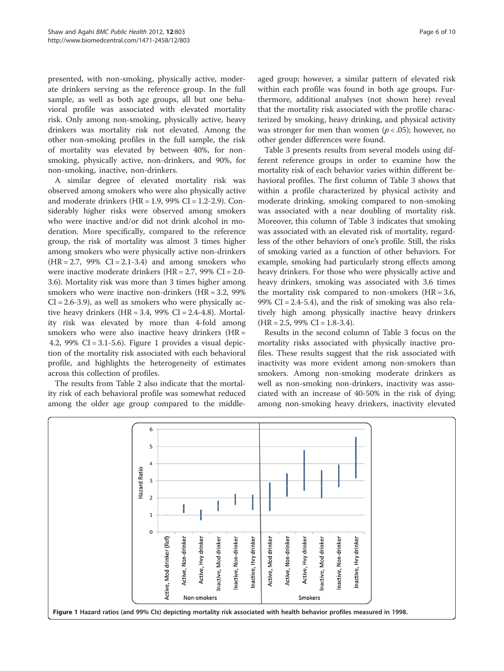presented, with non-smoking, physically active, moderate drinkers serving as the reference group. In the full sample, as well as both age groups, all but one behavioral profile was associated with elevated mortality risk. Only among non-smoking, physically active, heavy drinkers was mortality risk not elevated. Among the other non-smoking profiles in the full sample, the risk of mortality was elevated by between 40%, for nonsmoking, physically active, non-drinkers, and 90%, for non-smoking, inactive, non-drinkers.

A similar degree of elevated mortality risk was observed among smokers who were also physically active and moderate drinkers (HR =  $1.9$ , 99% CI =  $1.2$ - $2.9$ ). Considerably higher risks were observed among smokers who were inactive and/or did not drink alcohol in moderation. More specifically, compared to the reference group, the risk of mortality was almost 3 times higher among smokers who were physically active non-drinkers  $(HR = 2.7, 99\% \text{ CI} = 2.1 - 3.4)$  and among smokers who were inactive moderate drinkers (HR = 2.7, 99% CI = 2.0- 3.6). Mortality risk was more than 3 times higher among smokers who were inactive non-drinkers (HR = 3.2, 99%  $CI = 2.6 - 3.9$ , as well as smokers who were physically active heavy drinkers (HR = 3.4, 99% CI = 2.4-4.8). Mortality risk was elevated by more than 4-fold among smokers who were also inactive heavy drinkers (HR = 4.2, 99% CI = 3.1-5.6). Figure 1 provides a visual depiction of the mortality risk associated with each behavioral profile, and highlights the heterogeneity of estimates across this collection of profiles.

The results from Table [2](#page-4-0) also indicate that the mortality risk of each behavioral profile was somewhat reduced among the older age group compared to the middleaged group; however, a similar pattern of elevated risk within each profile was found in both age groups. Furthermore, additional analyses (not shown here) reveal that the mortality risk associated with the profile characterized by smoking, heavy drinking, and physical activity was stronger for men than women ( $p < .05$ ); however, no other gender differences were found.

Table [3](#page-4-0) presents results from several models using different reference groups in order to examine how the mortality risk of each behavior varies within different behavioral profiles. The first column of Table [3](#page-4-0) shows that within a profile characterized by physical activity and moderate drinking, smoking compared to non-smoking was associated with a near doubling of mortality risk. Moreover, this column of Table [3](#page-4-0) indicates that smoking was associated with an elevated risk of mortality, regardless of the other behaviors of one's profile. Still, the risks of smoking varied as a function of other behaviors. For example, smoking had particularly strong effects among heavy drinkers. For those who were physically active and heavy drinkers, smoking was associated with 3.6 times the mortality risk compared to non-smokers  $(HR = 3.6,$ 99% CI =  $2.4-5.4$ ), and the risk of smoking was also relatively high among physically inactive heavy drinkers  $(HR = 2.5, 99\% \text{ CI} = 1.8-3.4).$ 

Results in the second column of Table [3](#page-4-0) focus on the mortality risks associated with physically inactive profiles. These results suggest that the risk associated with inactivity was more evident among non-smokers than smokers. Among non-smoking moderate drinkers as well as non-smoking non-drinkers, inactivity was associated with an increase of 40-50% in the risk of dying; among non-smoking heavy drinkers, inactivity elevated

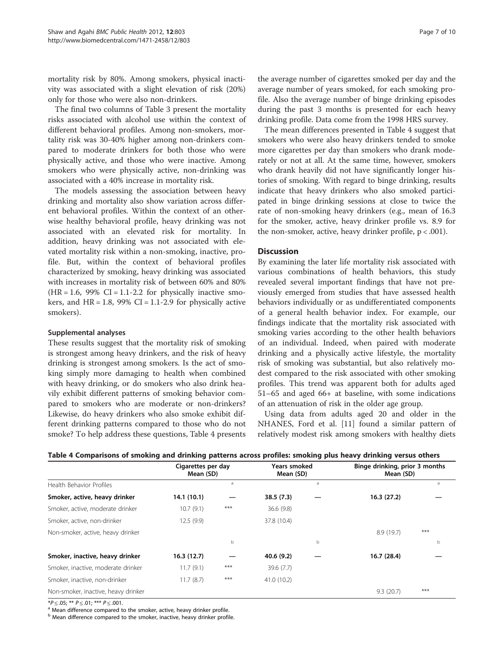mortality risk by 80%. Among smokers, physical inactivity was associated with a slight elevation of risk (20%) only for those who were also non-drinkers.

The final two columns of Table [3](#page-4-0) present the mortality risks associated with alcohol use within the context of different behavioral profiles. Among non-smokers, mortality risk was 30-40% higher among non-drinkers compared to moderate drinkers for both those who were physically active, and those who were inactive. Among smokers who were physically active, non-drinking was associated with a 40% increase in mortality risk.

The models assessing the association between heavy drinking and mortality also show variation across different behavioral profiles. Within the context of an otherwise healthy behavioral profile, heavy drinking was not associated with an elevated risk for mortality. In addition, heavy drinking was not associated with elevated mortality risk within a non-smoking, inactive, profile. But, within the context of behavioral profiles characterized by smoking, heavy drinking was associated with increases in mortality risk of between 60% and 80%  $(HR = 1.6, 99\% \text{ CI} = 1.1 - 2.2 \text{ for physically inactive smo-}$ kers, and  $HR = 1.8$ , 99% CI = 1.1-2.9 for physically active smokers).

#### Supplemental analyses

These results suggest that the mortality risk of smoking is strongest among heavy drinkers, and the risk of heavy drinking is strongest among smokers. Is the act of smoking simply more damaging to health when combined with heavy drinking, or do smokers who also drink heavily exhibit different patterns of smoking behavior compared to smokers who are moderate or non-drinkers? Likewise, do heavy drinkers who also smoke exhibit different drinking patterns compared to those who do not smoke? To help address these questions, Table 4 presents

the average number of cigarettes smoked per day and the average number of years smoked, for each smoking profile. Also the average number of binge drinking episodes during the past 3 months is presented for each heavy drinking profile. Data come from the 1998 HRS survey.

The mean differences presented in Table 4 suggest that smokers who were also heavy drinkers tended to smoke more cigarettes per day than smokers who drank moderately or not at all. At the same time, however, smokers who drank heavily did not have significantly longer histories of smoking. With regard to binge drinking, results indicate that heavy drinkers who also smoked participated in binge drinking sessions at close to twice the rate of non-smoking heavy drinkers (e.g., mean of 16.3 for the smoker, active, heavy drinker profile vs. 8.9 for the non-smoker, active, heavy drinker profile,  $p < .001$ ).

#### **Discussion**

By examining the later life mortality risk associated with various combinations of health behaviors, this study revealed several important findings that have not previously emerged from studies that have assessed health behaviors individually or as undifferentiated components of a general health behavior index. For example, our findings indicate that the mortality risk associated with smoking varies according to the other health behaviors of an individual. Indeed, when paired with moderate drinking and a physically active lifestyle, the mortality risk of smoking was substantial, but also relatively modest compared to the risk associated with other smoking profiles. This trend was apparent both for adults aged 51–65 and aged 66+ at baseline, with some indications of an attenuation of risk in the older age group.

Using data from adults aged 20 and older in the NHANES, Ford et al. [[11](#page-8-0)] found a similar pattern of relatively modest risk among smokers with healthy diets

|                                     | Cigarettes per day<br>Mean (SD) |       | Years smoked<br>Mean (SD) |   | Binge drinking, prior 3 months<br>Mean (SD) |       |  |
|-------------------------------------|---------------------------------|-------|---------------------------|---|---------------------------------------------|-------|--|
| Health Behavior Profiles            |                                 | a     |                           | a |                                             | a     |  |
| Smoker, active, heavy drinker       | 14.1(10.1)                      |       | 38.5(7.3)                 |   | 16.3(27.2)                                  |       |  |
| Smoker, active, moderate drinker    | 10.7(9.1)                       | $***$ | 36.6(9.8)                 |   |                                             |       |  |
| Smoker, active, non-drinker         | 12.5(9.9)                       |       | 37.8 (10.4)               |   |                                             |       |  |
| Non-smoker, active, heavy drinker   |                                 |       |                           |   | 8.9(19.7)                                   | $***$ |  |
|                                     |                                 | b     |                           | b |                                             | b     |  |
| Smoker, inactive, heavy drinker     | 16.3(12.7)                      |       | 40.6 (9.2)                |   | 16.7 (28.4)                                 |       |  |
| Smoker, inactive, moderate drinker  | 11.7(9.1)                       | $***$ | 39.6 (7.7)                |   |                                             |       |  |
| Smoker, inactive, non-drinker       | 11.7(8.7)                       | $***$ | 41.0 (10.2)               |   |                                             |       |  |
| Non-smoker, inactive, heavy drinker |                                 |       |                           |   | 9.3(20.7)                                   | $***$ |  |
|                                     |                                 |       |                           |   |                                             |       |  |

Table 4 Comparisons of smoking and drinking patterns across profiles: smoking plus heavy drinking versus others

 $*P \leq .05$ ;  $** P \leq .01$ ;  $*** P \leq .001$ .<br><sup>a</sup> Mean difference compared to the smoker, active, heavy drinker profile.

b Mean difference compared to the smoker, inactive, heavy drinker profile.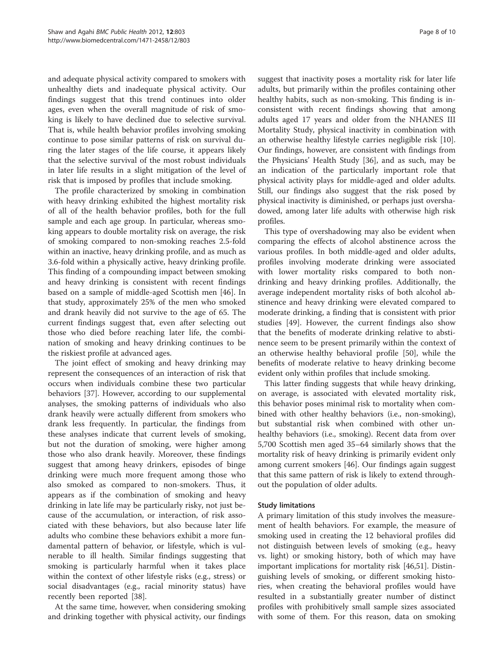and adequate physical activity compared to smokers with unhealthy diets and inadequate physical activity. Our findings suggest that this trend continues into older ages, even when the overall magnitude of risk of smoking is likely to have declined due to selective survival. That is, while health behavior profiles involving smoking continue to pose similar patterns of risk on survival during the later stages of the life course, it appears likely that the selective survival of the most robust individuals in later life results in a slight mitigation of the level of risk that is imposed by profiles that include smoking.

The profile characterized by smoking in combination with heavy drinking exhibited the highest mortality risk of all of the health behavior profiles, both for the full sample and each age group. In particular, whereas smoking appears to double mortality risk on average, the risk of smoking compared to non-smoking reaches 2.5-fold within an inactive, heavy drinking profile, and as much as 3.6-fold within a physically active, heavy drinking profile. This finding of a compounding impact between smoking and heavy drinking is consistent with recent findings based on a sample of middle-aged Scottish men [\[46](#page-9-0)]. In that study, approximately 25% of the men who smoked and drank heavily did not survive to the age of 65. The current findings suggest that, even after selecting out those who died before reaching later life, the combination of smoking and heavy drinking continues to be the riskiest profile at advanced ages.

The joint effect of smoking and heavy drinking may represent the consequences of an interaction of risk that occurs when individuals combine these two particular behaviors [\[37](#page-9-0)]. However, according to our supplemental analyses, the smoking patterns of individuals who also drank heavily were actually different from smokers who drank less frequently. In particular, the findings from these analyses indicate that current levels of smoking, but not the duration of smoking, were higher among those who also drank heavily. Moreover, these findings suggest that among heavy drinkers, episodes of binge drinking were much more frequent among those who also smoked as compared to non-smokers. Thus, it appears as if the combination of smoking and heavy drinking in late life may be particularly risky, not just because of the accumulation, or interaction, of risk associated with these behaviors, but also because later life adults who combine these behaviors exhibit a more fundamental pattern of behavior, or lifestyle, which is vulnerable to ill health. Similar findings suggesting that smoking is particularly harmful when it takes place within the context of other lifestyle risks (e.g., stress) or social disadvantages (e.g., racial minority status) have recently been reported [\[38](#page-9-0)].

At the same time, however, when considering smoking and drinking together with physical activity, our findings

suggest that inactivity poses a mortality risk for later life adults, but primarily within the profiles containing other healthy habits, such as non-smoking. This finding is inconsistent with recent findings showing that among adults aged 17 years and older from the NHANES III Mortality Study, physical inactivity in combination with an otherwise healthy lifestyle carries negligible risk [\[10](#page-8-0)]. Our findings, however, are consistent with findings from the Physicians' Health Study [[36\]](#page-9-0), and as such, may be an indication of the particularly important role that physical activity plays for middle-aged and older adults. Still, our findings also suggest that the risk posed by physical inactivity is diminished, or perhaps just overshadowed, among later life adults with otherwise high risk profiles.

This type of overshadowing may also be evident when comparing the effects of alcohol abstinence across the various profiles. In both middle-aged and older adults, profiles involving moderate drinking were associated with lower mortality risks compared to both nondrinking and heavy drinking profiles. Additionally, the average independent mortality risks of both alcohol abstinence and heavy drinking were elevated compared to moderate drinking, a finding that is consistent with prior studies [\[49](#page-9-0)]. However, the current findings also show that the benefits of moderate drinking relative to abstinence seem to be present primarily within the context of an otherwise healthy behavioral profile [\[50\]](#page-9-0), while the benefits of moderate relative to heavy drinking become evident only within profiles that include smoking.

This latter finding suggests that while heavy drinking, on average, is associated with elevated mortality risk, this behavior poses minimal risk to mortality when combined with other healthy behaviors (i.e., non-smoking), but substantial risk when combined with other unhealthy behaviors (i.e., smoking). Recent data from over 5,700 Scottish men aged 35–64 similarly shows that the mortality risk of heavy drinking is primarily evident only among current smokers [[46](#page-9-0)]. Our findings again suggest that this same pattern of risk is likely to extend throughout the population of older adults.

# Study limitations

A primary limitation of this study involves the measurement of health behaviors. For example, the measure of smoking used in creating the 12 behavioral profiles did not distinguish between levels of smoking (e.g., heavy vs. light) or smoking history, both of which may have important implications for mortality risk [[46,51\]](#page-9-0). Distinguishing levels of smoking, or different smoking histories, when creating the behavioral profiles would have resulted in a substantially greater number of distinct profiles with prohibitively small sample sizes associated with some of them. For this reason, data on smoking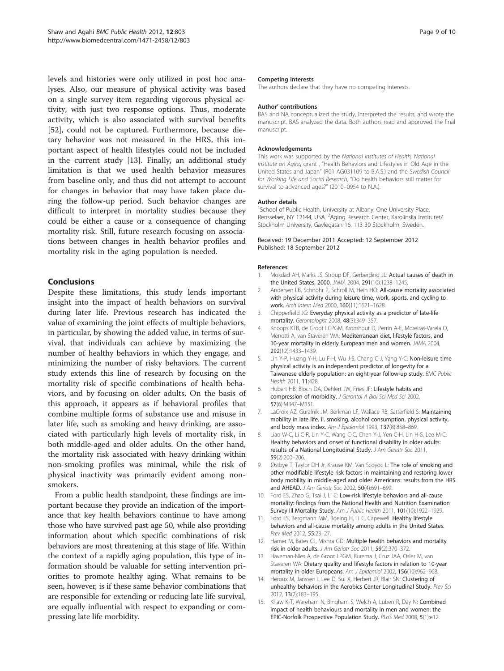<span id="page-8-0"></span>levels and histories were only utilized in post hoc analyses. Also, our measure of physical activity was based on a single survey item regarding vigorous physical activity, with just two response options. Thus, moderate activity, which is also associated with survival benefits [[52\]](#page-9-0), could not be captured. Furthermore, because dietary behavior was not measured in the HRS, this important aspect of health lifestyles could not be included in the current study [13]. Finally, an additional study limitation is that we used health behavior measures from baseline only, and thus did not attempt to account for changes in behavior that may have taken place during the follow-up period. Such behavior changes are difficult to interpret in mortality studies because they could be either a cause or a consequence of changing mortality risk. Still, future research focusing on associations between changes in health behavior profiles and mortality risk in the aging population is needed.

# Conclusions

Despite these limitations, this study lends important insight into the impact of health behaviors on survival during later life. Previous research has indicated the value of examining the joint effects of multiple behaviors, in particular, by showing the added value, in terms of survival, that individuals can achieve by maximizing the number of healthy behaviors in which they engage, and minimizing the number of risky behaviors. The current study extends this line of research by focusing on the mortality risk of specific combinations of health behaviors, and by focusing on older adults. On the basis of this approach, it appears as if behavioral profiles that combine multiple forms of substance use and misuse in later life, such as smoking and heavy drinking, are associated with particularly high levels of mortality risk, in both middle-aged and older adults. On the other hand, the mortality risk associated with heavy drinking within non-smoking profiles was minimal, while the risk of physical inactivity was primarily evident among nonsmokers.

From a public health standpoint, these findings are important because they provide an indication of the importance that key health behaviors continue to have among those who have survived past age 50, while also providing information about which specific combinations of risk behaviors are most threatening at this stage of life. Within the context of a rapidly aging population, this type of information should be valuable for setting intervention priorities to promote healthy aging. What remains to be seen, however, is if these same behavior combinations that are responsible for extending or reducing late life survival, are equally influential with respect to expanding or compressing late life morbidity.

#### Competing interests

The authors declare that they have no competing interests.

#### Author' contributions

BAS and NA conceptualized the study, interpreted the results, and wrote the manuscript. BAS analyzed the data. Both authors read and approved the final manuscript.

#### Acknowledgements

This work was supported by the National Institutes of Health, National Institute on Aging grant , "Health Behaviors and Lifestyles in Old Age in the United States and Japan" (R01 AG031109 to B.A.S.) and the Swedish Council for Working Life and Social Research, "Do health behaviors still matter for survival to advanced ages?" (2010–0954 to N.A.).

#### Author details

<sup>1</sup>School of Public Health, University at Albany, One University Place Rensselaer, NY 12144, USA. <sup>2</sup>Aging Research Center, Karolinska Institutet/ Stockholm University, Gavlegatan 16, 113 30 Stockholm, Sweden.

#### Received: 19 December 2011 Accepted: 12 September 2012 Published: 18 September 2012

#### References

- Mokdad AH, Marks JS, Stroup DF, Gerberding JL: Actual causes of death in the United States, 2000. JAMA 2004, 291(10):1238–1245.
- Andersen LB, Schnohr P, Schroll M, Hein HO: All-cause mortality associated with physical activity during leisure time, work, sports, and cycling to work. Arch Intern Med 2000, 160(11):1621–1628.
- 3. Chipperfield JG: Everyday physical activity as a predictor of late-life mortality. Gerontologist 2008, 48(3):349–357.
- 4. Knoops KTB, de Groot LCPGM, Kromhout D, Perrin A-E, Moreiras-Varela O, Menotti A, van Staveren WA: Mediterranean diet, lifestyle factors, and 10-year mortality in elderly European men and women. JAMA 2004, 292(12):1433–1439.
- 5. Lin Y-P, Huang Y-H, Lu F-H, Wu J-S, Chang C-J, Yang Y-C: Non-leisure time physical activity is an independent predictor of longevity for a Taiwanese elderly population: an eight-year follow-up study. BMC Public Health 2011, 11:428.
- 6. Hubert HB, Bloch DA, Oehlert JW, Fries JF: Lifestyle habits and compression of morbidity. J Gerontol A Biol Sci Med Sci 2002, 57(6):M347–M351.
- 7. LaCroix AZ, Guralnik JM, Berkman LF, Wallace RB, Satterfield S: Maintaining mobility in late life. ii. smoking, alcohol consumption, physical activity, and body mass index. Am J Epidemiol 1993, 137(8):858–869.
- 8. Liao W-C, Li C-R, Lin Y-C, Wang C-C, Chen Y-J, Yen C-H, Lin H-S, Lee M-C: Healthy behaviors and onset of functional disability in older adults: results of a National Longitudinal Study. J Am Geriatr Soc 2011, 59(2):200–206.
- 9. Østbye T, Taylor DH Jr, Krause KM, Van Scoyoc L: The role of smoking and other modifiable lifestyle risk factors in maintaining and restoring lower body mobility in middle-aged and older Americans: results from the HRS and AHEAD. J Am Geriatr Soc 2002, 50(4):691–699.
- 10. Ford ES, Zhao G, Tsai J, Li C: Low-risk lifestyle behaviors and all-cause mortality: findings from the National Health and Nutrition Examination Survey III Mortality Study. Am J Public Health 2011, 101(10):1922–1929.
- 11. Ford ES, Bergmann MM, Boeing H, Li C, Capewell: Healthy lifestyle behaviors and all-cause mortality among adults in the United States. Prev Med 2012, 55:23–27.
- 12. Hamer M, Bates CJ, Mishra GD: Multiple health behaviors and mortality risk in older adults. J Am Geriatr Soc 2011, 59(2):370–372.
- 13. Haveman-Nies A, de Groot LPGM, Burema J, Cruz JAA, Osler M, van Staveren WA: Dietary quality and lifestyle factors in relation to 10-year mortality in older Europeans. Am J Epidemiol 2002, 156(10):962–968.
- 14. Heroux M, Janssen I, Lee D, Sui X, Herbert JR, Blair SN: Clustering of unhealthy behaviors in the Aerobics Center Longitudinal Study. Prev Sci 2012, 13(2):183–195.
- 15. Khaw K-T, Wareham N, Bingham S, Welch A, Luben R, Day N: Combined impact of health behaviours and mortality in men and women: the EPIC-Norfolk Prospective Population Study. PLoS Med 2008, 5(1):e12.